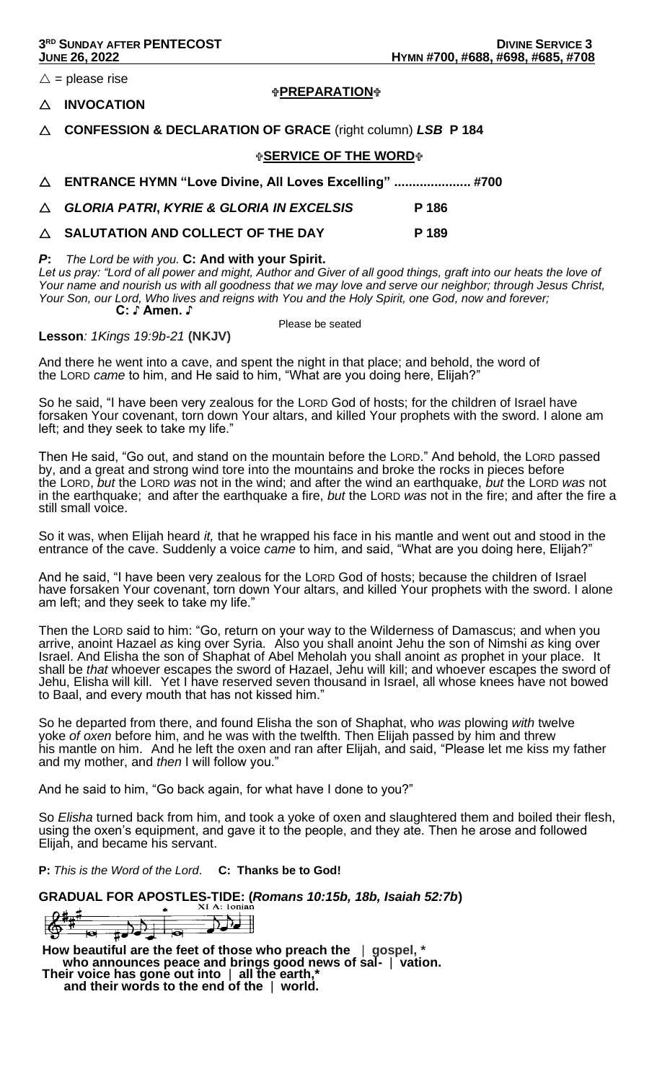|             | 3RD SUNDAY AFTER PENTECOST<br><b>JUNE 26, 2022</b>                    | <b>DIVINE SERVICE 3</b><br>HYMN #700, #688, #698, #685, #708 |
|-------------|-----------------------------------------------------------------------|--------------------------------------------------------------|
|             | $\triangle$ = please rise                                             |                                                              |
|             | <b>INVOCATION</b>                                                     | <b>⊕PREPARATION⊕</b>                                         |
| $\wedge$    | <b>CONFESSION &amp; DECLARATION OF GRACE (right column) LSB P 184</b> |                                                              |
|             |                                                                       | <b><i></i> <b>†SERVICE OF THE WORD</b> †</b>                 |
| $\triangle$ | <b>ENTRANCE HYMN "Love Divine, All Loves Excelling"  #700</b>         |                                                              |
| $\wedge$    | <b>GLORIA PATRI, KYRIE &amp; GLORIA IN EXCELSIS</b>                   | P 186                                                        |
|             |                                                                       |                                                              |

 $\triangle$  SALUTATION AND COLLECT OF THE DAY  $\angle$  P 189

#### *P***:** *The Lord be with you.* **C: And with your Spirit.**

Let us pray: "Lord of all power and might, Author and Giver of all good things, graft into our heats the love of *Your name and nourish us with all goodness that we may love and serve our neighbor; through Jesus Christ, Your Son, our Lord, Who lives and reigns with You and the Holy Spirit, one God, now and forever;*  **C: ♪ Amen. ♪**

Please be seated

**Lesson***: 1Kings 19:9b-21* **(NKJV)**

And there he went into a cave, and spent the night in that place; and behold, the word of the LORD *came* to him, and He said to him, "What are you doing here, Elijah?"

So he said, "I have been very zealous for the LORD God of hosts; for the children of Israel have forsaken Your covenant, torn down Your altars, and killed Your prophets with the sword. I alone am left; and they seek to take my life."

Then He said, "Go out, and stand on the mountain before the LORD." And behold, the LORD passed by, and a great and strong wind tore into the mountains and broke the rocks in pieces before the LORD, *but* the LORD *was* not in the wind; and after the wind an earthquake, *but* the LORD *was* not in the earthquake; and after the earthquake a fire, *but* the LORD *was* not in the fire; and after the fire a still small voice.

So it was, when Elijah heard *it,* that he wrapped his face in his mantle and went out and stood in the entrance of the cave. Suddenly a voice *came* to him, and said, "What are you doing here, Elijah?"

And he said, "I have been very zealous for the LORD God of hosts; because the children of Israel have forsaken Your covenant, torn down Your altars, and killed Your prophets with the sword. I alone am left; and they seek to take my life."

Then the LORD said to him: "Go, return on your way to the Wilderness of Damascus; and when you arrive, anoint Hazael *as* king over Syria. Also you shall anoint Jehu the son of Nimshi *as* king over Israel. And Elisha the son of Shaphat of Abel Meholah you shall anoint *as* prophet in your place. It shall be *that* whoever escapes the sword of Hazael, Jehu will kill; and whoever escapes the sword of Jehu, Elisha will kill. Yet I have reserved seven thousand in Israel, all whose knees have not bowed to Baal, and every mouth that has not kissed him."

So he departed from there, and found Elisha the son of Shaphat, who *was* plowing *with* twelve yoke *of oxen* before him, and he was with the twelfth. Then Elijah passed by him and threw his mantle on him. And he left the oxen and ran after Elijah, and said, "Please let me kiss my father and my mother, and *then* I will follow you."

And he said to him, "Go back again, for what have I done to you?"

So *Elisha* turned back from him, and took a yoke of oxen and slaughtered them and boiled their flesh, using the oxen's equipment, and gave it to the people, and they ate. Then he arose and followed Elijah, and became his servant.

**P:** *This is the Word of the Lord*. **C: Thanks be to God!**

**GRADUAL FOR APOSTLES-TIDE: (***Romans 10:15b, 18b, Isaiah 52:7b***)**

 $\frac{1}{\sqrt{2}}$ 

**How beautiful are the feet of those who preach the** | **gospel, \* who announces peace and brings good news of sal-** | **vation. Their voice has gone out into** | **all the earth,\* and their words to the end of the** | **world.**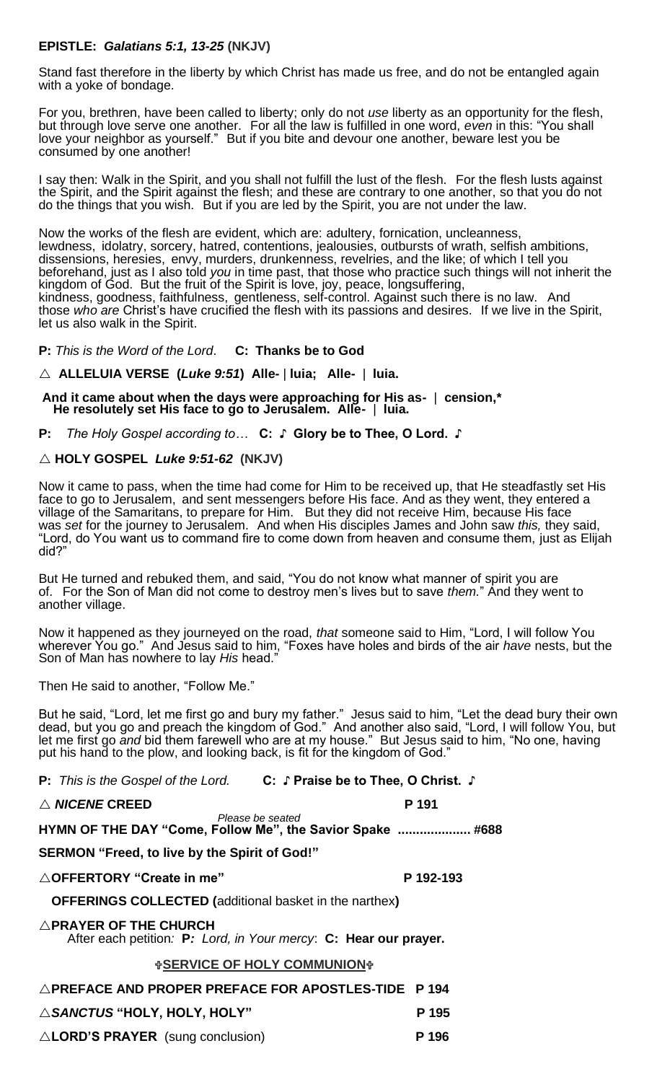#### **EPISTLE:** *Galatians 5:1, 13-25* **(NKJV)**

Stand fast therefore in the liberty by which Christ has made us free, and do not be entangled again with a yoke of bondage.

For you, brethren, have been called to liberty; only do not *use* liberty as an opportunity for the flesh, but through love serve one another. For all the law is fulfilled in one word, *even* in this: "You shall love your neighbor as yourself." But if you bite and devour one another, beware lest you be consumed by one another!

I say then: Walk in the Spirit, and you shall not fulfill the lust of the flesh. For the flesh lusts against the Spirit, and the Spirit against the flesh; and these are contrary to one another, so that you do not do the things that you wish. But if you are led by the Spirit, you are not under the law.

Now the works of the flesh are evident, which are: adultery, fornication, uncleanness, lewdness, idolatry, sorcery, hatred, contentions, jealousies, outbursts of wrath, selfish ambitions, dissensions, heresies, envy, murders, drunkenness, revelries, and the like; of which I tell you beforehand, just as I also told *you* in time past, that those who practice such things will not inherit the kingdom of God. But the fruit of the Spirit is love, joy, peace, longsuffering, kindness, goodness, faithfulness, gentleness, self-control. Against such there is no law. And those *who are* Christ's have crucified the flesh with its passions and desires. If we live in the Spirit, let us also walk in the Spirit.

**P:** *This is the Word of the Lord*. **C: Thanks be to God**

#### **ALLELUIA VERSE (***Luke 9:51***) Alle-** | **luia; Alle-** | **luia.**

**And it came about when the days were approaching for His as-** | **cension,\* He resolutely set His face to go to Jerusalem. Alle-** | **luia.**

**P:** *The Holy Gospel according to…* **C: ♪ Glory be to Thee, O Lord. ♪**

#### **HOLY GOSPEL** *Luke 9:51-62* **(NKJV)**

Now it came to pass, when the time had come for Him to be received up, that He steadfastly set His face to go to Jerusalem, and sent messengers before His face. And as they went, they entered a village of the Samaritans, to prepare for Him.But they did not receive Him, because His face was *set* for the journey to Jerusalem. And when His disciples James and John saw *this,* they said, "Lord, do You want us to command fire to come down from heaven and consume them, just as Elijah did?"

But He turned and rebuked them, and said, "You do not know what manner of spirit you are of. For the Son of Man did not come to destroy men's lives but to save *them.*" And they went to another village.

Now it happened as they journeyed on the road, *that* someone said to Him, "Lord, I will follow You wherever You go." And Jesus said to him, "Foxes have holes and birds of the air *have* nests, but the Son of Man has nowhere to lay *His* head."

Then He said to another, "Follow Me."

But he said, "Lord, let me first go and bury my father." Jesus said to him, "Let the dead bury their own dead, but you go and preach the kingdom of God." And another also said, "Lord, I will follow You, but let me first go *and* bid them farewell who are at my house." But Jesus said to him, "No one, having put his hand to the plow, and looking back, is fit for the kingdom of God."

**P:** *This is the Gospel of the Lord.* **C: ♪ Praise be to Thee, O Christ. ♪**

#### $\triangle$  *NICENE* CREED **P** 191

 *Please be seated* **HYMN OF THE DAY "Come, Follow Me", the Savior Spake .................... #688**

#### **SERMON "Freed, to live by the Spirit of God!"**

**OFFERTORY "Create in me" P 192-193**

**OFFERINGS COLLECTED (**additional basket in the narthex**)**

#### **PRAYER OF THE CHURCH**

After each petition*:* **P***: Lord, in Your mercy*: **C: Hear our prayer.**

#### **SERVICE OF HOLY COMMUNION**

- **PREFACE AND PROPER PREFACE FOR APOSTLES-TIDE P 194**
- $\triangle$  *SANCTUS* "HOLY, HOLY, HOLY"  $\triangle$  *P* 195

**LORD'S PRAYER** (sung conclusion) **P 196**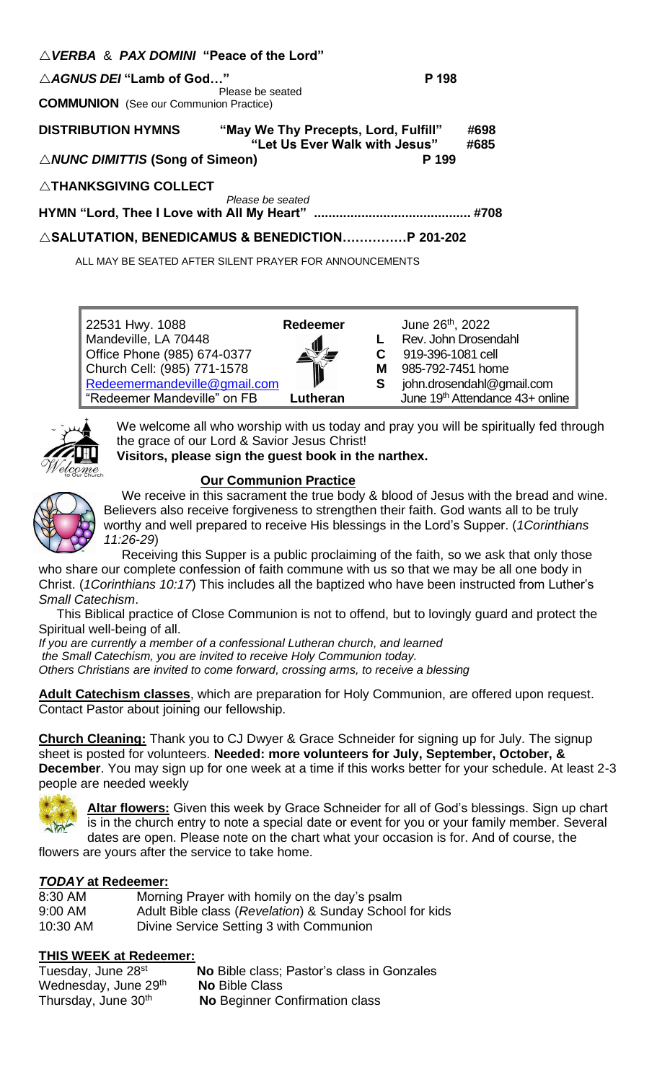# *VERBA* & *PAX DOMINI* **"Peace of the Lord"** *AGNUS DEI* **"Lamb of God…" P 198** Please be seated **COMMUNION** (See our Communion Practice) **DISTRIBUTION HYMNS "May We Thy Precepts, Lord, Fulfill" #698 "Let Us Ever Walk with Jesus" #685** △ **NUNC DIMITTIS** (Song of Simeon) **P 199 THANKSGIVING COLLECT**  *Please be seated* **HYMN "Lord, Thee I Love with All My Heart" ........................................... #708 SALUTATION, BENEDICAMUS & BENEDICTION……………P 201-202** ALL MAY BE SEATED AFTER SILENT PRAYER FOR ANNOUNCEMENTS

22531 Hwy. 1088 **Redeemer** Mandeville, LA 70448 Office Phone (985) 674-0377 Church Cell: (985) 771-1578 [Redeemermandeville@gmail.com](mailto:Redeemermandeville@gmail.com) "Redeemer Mandeville" on FB **Lutheran** June 26th, 2022 **L** Rev. John Drosendahl **C** 919-396-1081 cell **M** 985-792-7451 home **S** john.drosendahl@gmail.com June 19th Attendance 43+ online



We welcome all who worship with us today and pray you will be spiritually fed through the grace of our Lord & Savior Jesus Christ! **Visitors, please sign the guest book in the narthex.** 

## **Our Communion Practice**



 We receive in this sacrament the true body & blood of Jesus with the bread and wine. Believers also receive forgiveness to strengthen their faith. God wants all to be truly worthy and well prepared to receive His blessings in the Lord's Supper. (*1Corinthians 11:26-29*)

 Receiving this Supper is a public proclaiming of the faith, so we ask that only those who share our complete confession of faith commune with us so that we may be all one body in Christ. (*1Corinthians 10:17*) This includes all the baptized who have been instructed from Luther's *Small Catechism*.

This Biblical practice of Close Communion is not to offend, but to lovingly guard and protect the Spiritual well-being of all.

*If you are currently a member of a confessional Lutheran church, and learned the Small Catechism, you are invited to receive Holy Communion today. Others Christians are invited to come forward, crossing arms, to receive a blessing*

**Adult Catechism classes**, which are preparation for Holy Communion, are offered upon request. Contact Pastor about joining our fellowship.

**Church Cleaning:** Thank you to CJ Dwyer & Grace Schneider for signing up for July. The signup sheet is posted for volunteers. **Needed: more volunteers for July, September, October, & December**. You may sign up for one week at a time if this works better for your schedule. At least 2-3 people are needed weekly



**Altar flowers:** Given this week by Grace Schneider for all of God's blessings. Sign up chart is in the church entry to note a special date or event for you or your family member. Several dates are open. Please note on the chart what your occasion is for. And of course, the

flowers are yours after the service to take home.

## *TODAY* **at Redeemer:**

| 8:30 AM  | Morning Prayer with homily on the day's psalm           |
|----------|---------------------------------------------------------|
| 9:00 AM  | Adult Bible class (Revelation) & Sunday School for kids |
| 10:30 AM | Divine Service Setting 3 with Communion                 |

## **THIS WEEK at Redeemer:**

| Tuesday, June 28 <sup>st</sup> | No Bible class; Pastor's class in Gonzales |
|--------------------------------|--------------------------------------------|
| Wednesday, June 29th           | <b>No Bible Class</b>                      |
| Thursday, June 30th            | No Beginner Confirmation class             |